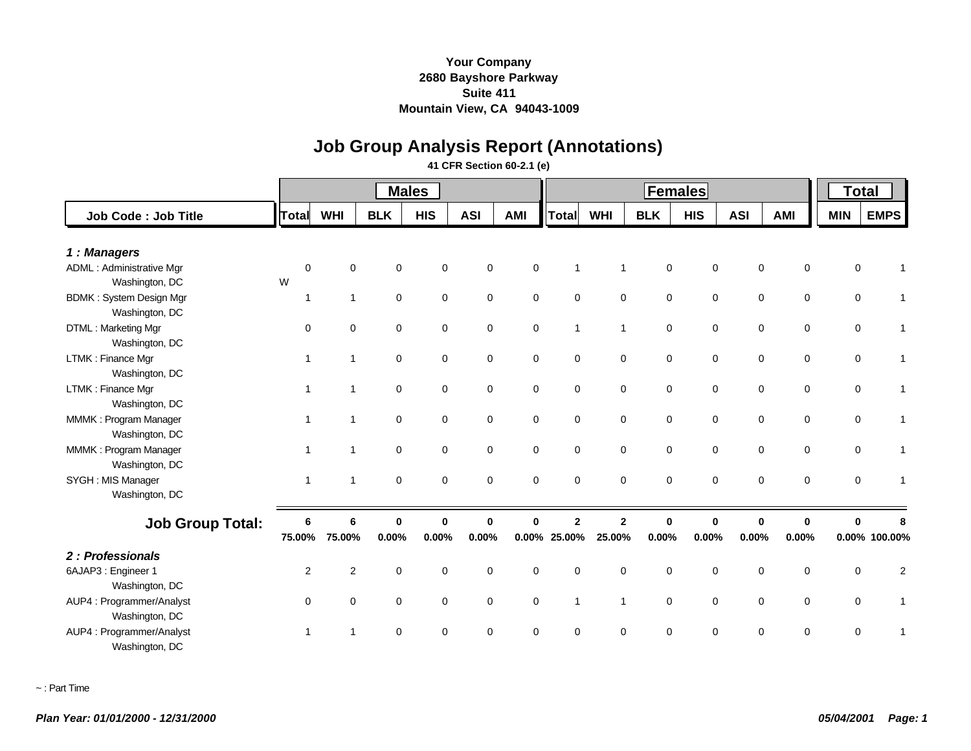# **Job Group Analysis Report (Annotations)**

#### **41 CFR Section 60-2.1 (e)**

|                                                  |                |                |             | <b>Males</b> |             |             |                 | <b>Total</b>   |             |             |              |                            |             |               |
|--------------------------------------------------|----------------|----------------|-------------|--------------|-------------|-------------|-----------------|----------------|-------------|-------------|--------------|----------------------------|-------------|---------------|
| Job Code: Job Title                              | Total          | <b>WHI</b>     | <b>BLK</b>  | <b>HIS</b>   | <b>ASI</b>  | AMI         | <b>Total</b>    | <b>WHI</b>     | <b>BLK</b>  | <b>HIS</b>  | <b>ASI</b>   | <b>AMI</b>                 | <b>MIN</b>  | <b>EMPS</b>   |
| 1: Managers                                      |                |                |             |              |             |             |                 |                |             |             |              |                            |             |               |
| <b>ADML: Administrative Mgr</b>                  | $\Omega$       | $\Omega$       | $\Omega$    | $\Omega$     | $\Omega$    | $\Omega$    | 1               | $\mathbf{1}$   | $\mathbf 0$ | $\mathbf 0$ |              | $\mathbf 0$<br>$\mathbf 0$ | 0           |               |
| Washington, DC                                   | W              |                |             |              |             |             |                 |                |             |             |              |                            |             |               |
| <b>BDMK: System Design Mgr</b><br>Washington, DC | $\overline{1}$ | $\mathbf{1}$   | $\mathbf 0$ | $\mathbf 0$  | $\mathbf 0$ | $\mathbf 0$ | $\mathbf 0$     | $\mathbf 0$    | 0           | $\mathbf 0$ |              | 0<br>0                     | $\mathbf 0$ |               |
| DTML: Marketing Mgr<br>Washington, DC            | $\mathbf 0$    | $\mathbf 0$    | $\mathbf 0$ | $\mathbf 0$  | $\mathbf 0$ | 0           | $\mathbf{1}$    | $\overline{1}$ | 0           | $\mathbf 0$ |              | $\mathbf 0$<br>0           | 0           |               |
| LTMK: Finance Mgr<br>Washington, DC              | $\mathbf{1}$   | $\mathbf{1}$   | $\mathbf 0$ | $\mathbf 0$  | $\mathbf 0$ | $\mathbf 0$ | $\mathbf 0$     | $\mathbf 0$    | $\mathbf 0$ | $\mathbf 0$ |              | 0<br>$\mathbf 0$           | $\mathbf 0$ |               |
| LTMK: Finance Mgr<br>Washington, DC              |                | 1              | $\mathbf 0$ | $\mathbf 0$  | $\mathbf 0$ | $\mathbf 0$ | $\mathbf 0$     | $\mathbf 0$    | 0           | $\mathbf 0$ |              | $\mathbf 0$<br>0           | $\mathbf 0$ |               |
| MMMK: Program Manager<br>Washington, DC          | -1             | $\mathbf{1}$   | $\mathbf 0$ | $\mathbf 0$  | $\mathbf 0$ | 0           | $\mathbf 0$     | $\mathbf 0$    | 0           | 0           |              | $\mathbf 0$<br>$\mathbf 0$ | $\mathbf 0$ |               |
| MMMK: Program Manager<br>Washington, DC          | -1             | $\mathbf{1}$   | $\mathbf 0$ | $\mathbf 0$  | $\mathbf 0$ | $\mathbf 0$ | $\mathsf 0$     | $\mathsf 0$    | $\mathbf 0$ | $\mathbf 0$ |              | $\mathbf 0$<br>$\mathbf 0$ | $\mathbf 0$ |               |
| SYGH : MIS Manager<br>Washington, DC             | $\mathbf{1}$   | $\overline{1}$ | $\mathbf 0$ | $\mathbf 0$  | $\mathbf 0$ | $\mathbf 0$ | $\mathbf 0$     | $\mathbf 0$    | 0           | $\mathbf 0$ |              | $\mathbf 0$<br>$\mathbf 0$ | $\mathbf 0$ |               |
| <b>Job Group Total:</b>                          | 6              | 6              | $\bf{0}$    | $\Omega$     | $\Omega$    | O           | $\overline{2}$  | $\overline{2}$ | $\bf{0}$    | $\Omega$    | $\mathbf{0}$ | $\bf{0}$                   | $\bf{0}$    |               |
|                                                  | 75.00%         | 75.00%         | 0.00%       | 0.00%        | 0.00%       |             | $0.00\%$ 25.00% | 25.00%         | 0.00%       | 0.00%       | 0.00%        | 0.00%                      |             | 0.00% 100.00% |
| 2: Professionals                                 |                |                |             |              |             |             |                 |                |             |             |              |                            |             |               |
| 6AJAP3 : Engineer 1<br>Washington, DC            | 2              | 2              | $\mathbf 0$ | $\mathbf 0$  | $\mathbf 0$ | $\mathbf 0$ | $\mathbf 0$     | $\mathbf 0$    | 0           | $\mathbf 0$ |              | $\mathbf 0$<br>$\mathbf 0$ | $\mathbf 0$ | 2             |
| AUP4 : Programmer/Analyst<br>Washington, DC      | $\Omega$       | $\mathbf 0$    | $\mathbf 0$ | $\mathbf 0$  | $\mathbf 0$ | $\mathbf 0$ | $\mathbf{1}$    | $\mathbf{1}$   | $\mathbf 0$ | $\mathbf 0$ |              | $\mathbf 0$<br>0           | $\mathbf 0$ |               |
| AUP4 : Programmer/Analyst<br>Washington, DC      | $\overline{1}$ | -1             | $\mathbf 0$ | $\Omega$     | $\Omega$    | 0           | $\Omega$        | 0              | 0           | $\Omega$    |              | $\mathbf 0$<br>$\Omega$    | 0           |               |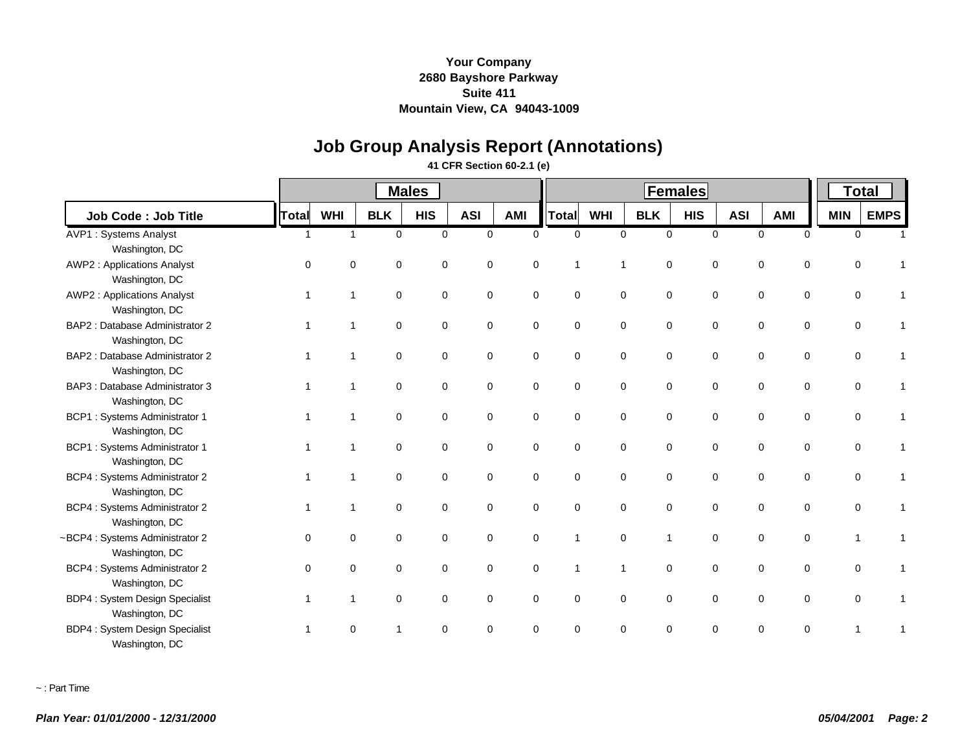# **Job Group Analysis Report (Annotations)**

#### **41 CFR Section 60-2.1 (e)**

|                                       |              |            |             | <b>Males</b> |             |             |                |              | <b>Total</b>   |             |            |                            |            |             |
|---------------------------------------|--------------|------------|-------------|--------------|-------------|-------------|----------------|--------------|----------------|-------------|------------|----------------------------|------------|-------------|
| Job Code: Job Title                   | <b>Total</b> | <b>WHI</b> | <b>BLK</b>  | <b>HIS</b>   | <b>ASI</b>  | <b>AMI</b>  | Total          | <b>WHI</b>   | <b>BLK</b>     | <b>HIS</b>  | <b>ASI</b> | AMI                        | <b>MIN</b> | <b>EMPS</b> |
| <b>AVP1: Systems Analyst</b>          | -1           | 1          | $\Omega$    | $\mathbf 0$  | $\mathbf 0$ | $\Omega$    | $\Omega$       | $\Omega$     | $\mathbf 0$    | $\Omega$    |            | $\Omega$<br>$\mathbf 0$    |            | 0           |
| Washington, DC                        |              |            |             |              |             |             |                |              |                |             |            |                            |            |             |
| <b>AWP2: Applications Analyst</b>     | $\Omega$     | $\Omega$   | $\mathbf 0$ | $\mathbf 0$  | $\mathbf 0$ | $\Omega$    | 1              | $\mathbf 1$  | $\mathbf 0$    | $\Omega$    |            | 0<br>$\mathbf 0$           |            | 0           |
| Washington, DC                        |              |            |             |              |             |             |                |              |                |             |            |                            |            |             |
| <b>AWP2: Applications Analyst</b>     |              | 1          | $\mathbf 0$ | $\mathbf 0$  | $\mathbf 0$ | $\mathbf 0$ | $\mathbf 0$    | $\mathbf 0$  | $\mathbf 0$    | $\mathbf 0$ |            | $\mathbf 0$<br>$\mathbf 0$ |            | 0           |
| Washington, DC                        |              |            |             |              |             |             |                |              |                |             |            |                            |            |             |
| BAP2 : Database Administrator 2       |              |            | $\mathbf 0$ | $\mathbf 0$  | $\mathbf 0$ | $\mathbf 0$ | $\mathbf 0$    | $\mathbf 0$  | $\mathbf 0$    | $\Omega$    |            | $\mathbf 0$<br>0           |            | 0           |
| Washington, DC                        |              |            |             |              |             |             |                |              |                |             |            |                            |            |             |
| BAP2: Database Administrator 2        |              |            | $\mathbf 0$ | $\mathbf 0$  | $\mathbf 0$ | $\mathbf 0$ | $\mathbf 0$    | $\mathbf 0$  | $\mathbf 0$    | $\Omega$    |            | 0<br>$\mathbf 0$           |            | 0           |
| Washington, DC                        |              |            |             |              |             |             |                |              |                |             |            |                            |            |             |
| BAP3 : Database Administrator 3       |              |            | $\mathbf 0$ | $\mathbf 0$  | $\mathbf 0$ | $\mathbf 0$ | $\mathbf 0$    | $\mathbf 0$  | $\mathbf 0$    | $\mathbf 0$ |            | $\mathbf 0$<br>$\mathbf 0$ |            | 0           |
| Washington, DC                        |              |            |             |              |             |             |                |              |                |             |            |                            |            |             |
| <b>BCP1:</b> Systems Administrator 1  |              |            | $\mathbf 0$ | $\mathbf 0$  | $\mathbf 0$ | 0           | $\mathbf 0$    | $\mathbf 0$  | $\mathbf 0$    | $\mathbf 0$ |            | 0<br>0                     |            | 0           |
| Washington, DC                        |              |            |             |              |             |             |                |              |                |             |            |                            |            |             |
| <b>BCP1:</b> Systems Administrator 1  |              | 1          | $\mathbf 0$ | $\mathbf 0$  | $\mathbf 0$ | $\mathbf 0$ | $\mathbf 0$    | $\mathsf 0$  | $\mathbf 0$    | $\mathbf 0$ |            | $\mathbf 0$<br>$\mathbf 0$ |            | 0           |
| Washington, DC                        |              |            |             |              |             |             |                |              |                |             |            |                            |            |             |
| <b>BCP4: Systems Administrator 2</b>  |              | 1          | $\mathbf 0$ | $\mathbf 0$  | $\mathbf 0$ | $\mathbf 0$ | $\mathbf 0$    | $\mathbf 0$  | $\mathbf 0$    | $\Omega$    |            | $\mathbf 0$<br>$\mathbf 0$ |            | 0           |
| Washington, DC                        |              |            |             |              |             |             |                |              |                |             |            |                            |            |             |
| <b>BCP4: Systems Administrator 2</b>  |              |            | $\mathbf 0$ | $\mathbf 0$  | 0           | $\mathbf 0$ | $\mathbf 0$    | $\mathbf 0$  | $\mathbf 0$    | $\mathbf 0$ |            | 0<br>0                     |            | 0           |
| Washington, DC                        |              |            |             |              |             |             |                |              |                |             |            |                            |            |             |
| ~BCP4 : Systems Administrator 2       | $\Omega$     | $\Omega$   | $\mathbf 0$ | $\Omega$     | $\mathbf 0$ | $\Omega$    | $\mathbf{1}$   | $\mathbf 0$  | $\overline{1}$ | $\Omega$    |            | $\mathbf 0$<br>$\mathbf 0$ | 1          |             |
| Washington, DC                        |              |            |             |              |             |             |                |              |                |             |            |                            |            |             |
| BCP4 : Systems Administrator 2        | $\Omega$     | $\Omega$   | $\mathbf 0$ | $\mathbf 0$  | $\mathbf 0$ | $\mathbf 0$ | $\overline{1}$ | $\mathbf{1}$ | $\mathbf 0$    | $\mathbf 0$ |            | 0<br>$\mathbf 0$           |            | 0           |
| Washington, DC                        |              |            |             |              |             |             |                |              |                |             |            |                            |            |             |
| <b>BDP4: System Design Specialist</b> |              | 1          | $\mathbf 0$ | $\mathbf 0$  | $\mathbf 0$ | 0           | $\mathbf 0$    | $\mathbf 0$  | $\mathbf 0$    | $\mathbf 0$ |            | 0<br>0                     |            | 0           |
| Washington, DC                        |              |            |             |              |             |             |                |              |                |             |            |                            |            |             |
| <b>BDP4: System Design Specialist</b> |              | 0          |             | $\Omega$     | $\Omega$    | $\Omega$    | $\Omega$       | $\Omega$     | $\Omega$       | $\Omega$    |            | $\Omega$<br>$\Omega$       | 1          |             |
| Washington, DC                        |              |            |             |              |             |             |                |              |                |             |            |                            |            |             |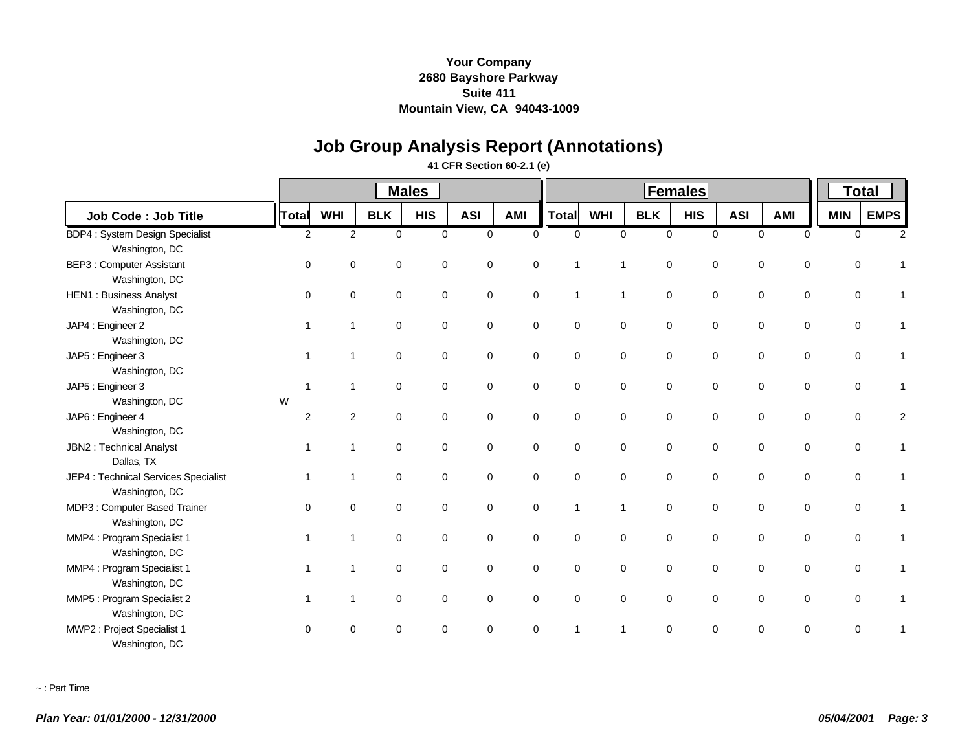# **Job Group Analysis Report (Annotations)**

### **41 CFR Section 60-2.1 (e)**

|                                                        |                |                         |             | <b>Males</b> |             |             |              |              | <b>Total</b> |             |            |                            |             |             |
|--------------------------------------------------------|----------------|-------------------------|-------------|--------------|-------------|-------------|--------------|--------------|--------------|-------------|------------|----------------------------|-------------|-------------|
| Job Code: Job Title                                    | <b>Total</b>   | <b>WHI</b>              | <b>BLK</b>  | <b>HIS</b>   | <b>ASI</b>  | AMI         | Total        | <b>WHI</b>   | <b>BLK</b>   | <b>HIS</b>  | <b>ASI</b> | <b>AMI</b>                 | <b>MIN</b>  | <b>EMPS</b> |
| BDP4 : System Design Specialist                        | 2              | 2                       | $\Omega$    | $\Omega$     | $\Omega$    | $\Omega$    | $\Omega$     | $\Omega$     | $\Omega$     | $\Omega$    |            | $\Omega$<br>$\Omega$       | $\Omega$    | 2           |
| Washington, DC                                         |                |                         |             |              |             |             |              |              |              |             |            |                            |             |             |
| BEP3 : Computer Assistant<br>Washington, DC            | $\Omega$       | $\Omega$                | 0           | $\mathbf 0$  | $\Omega$    | $\Omega$    | 1            | 1            | $\mathbf 0$  | $\mathbf 0$ |            | $\mathbf 0$<br>0           | $\Omega$    |             |
| <b>HEN1: Business Analyst</b><br>Washington, DC        | $\Omega$       | $\Omega$                | $\mathbf 0$ | $\mathbf 0$  | $\mathbf 0$ | $\mathbf 0$ | $\mathbf{1}$ | $\mathbf{1}$ | $\mathbf 0$  | $\mathbf 0$ |            | $\mathbf 0$<br>$\mathbf 0$ | $\Omega$    |             |
| JAP4 : Engineer 2<br>Washington, DC                    | -1             | $\overline{1}$          | $\mathbf 0$ | $\mathbf 0$  | $\mathbf 0$ | $\mathbf 0$ | $\mathbf 0$  | $\mathbf 0$  | $\mathbf 0$  | $\mathbf 0$ |            | $\mathbf 0$<br>0           | $\Omega$    |             |
| JAP5 : Engineer 3<br>Washington, DC                    |                | -1                      | $\mathbf 0$ | $\mathbf 0$  | 0           | $\mathbf 0$ | $\mathbf 0$  | $\mathbf 0$  | $\mathbf 0$  | $\mathbf 0$ |            | $\mathbf 0$<br>$\mathbf 0$ | $\Omega$    |             |
| JAP5 : Engineer 3                                      | $\overline{1}$ | $\overline{\mathbf{1}}$ | $\mathbf 0$ | $\mathbf 0$  | $\mathbf 0$ | $\mathbf 0$ | $\mathbf 0$  | $\mathbf 0$  | $\mathbf 0$  | $\mathbf 0$ |            | $\mathbf 0$<br>$\mathbf 0$ | $\mathbf 0$ |             |
| Washington, DC                                         | W              |                         |             |              |             |             |              |              |              |             |            |                            |             |             |
| JAP6 : Engineer 4<br>Washington, DC                    | 2              | 2                       | $\mathbf 0$ | $\mathbf 0$  | $\mathbf 0$ | $\mathbf 0$ | $\mathbf 0$  | $\mathbf 0$  | $\mathbf 0$  | $\mathbf 0$ |            | $\mathbf 0$<br>$\mathbf 0$ | 0           |             |
| JBN2 : Technical Analyst<br>Dallas, TX                 | $\overline{1}$ | $\overline{1}$          | $\mathbf 0$ | $\mathbf 0$  | $\mathbf 0$ | $\mathbf 0$ | $\mathbf 0$  | $\mathbf 0$  | $\mathbf 0$  | $\mathbf 0$ |            | $\mathbf 0$<br>$\mathbf 0$ | $\mathbf 0$ |             |
| JEP4 : Technical Services Specialist<br>Washington, DC | -1             | -1                      | $\mathbf 0$ | $\mathbf 0$  | $\mathbf 0$ | $\mathbf 0$ | $\mathbf 0$  | $\mathbf 0$  | $\mathbf 0$  | $\mathbf 0$ |            | $\mathbf 0$<br>$\mathbf 0$ | 0           |             |
| MDP3 : Computer Based Trainer<br>Washington, DC        | $\Omega$       | $\Omega$                | $\mathbf 0$ | $\mathbf 0$  | 0           | $\Omega$    | $\mathbf{1}$ | $\mathbf{1}$ | $\mathbf 0$  | $\mathbf 0$ |            | 0<br>0                     | $\Omega$    |             |
| MMP4 : Program Specialist 1<br>Washington, DC          | -1             | 1                       | 0           | $\mathbf 0$  | 0           | $\mathbf 0$ | $\mathbf 0$  | $\mathbf 0$  | $\mathbf 0$  | 0           |            | 0<br>0                     | $\mathbf 0$ |             |
| MMP4 : Program Specialist 1<br>Washington, DC          | $\overline{1}$ | $\overline{1}$          | 0           | 0            | 0           | 0           | $\mathbf 0$  | 0            | 0            | $\mathbf 0$ |            | 0<br>0                     | $\Omega$    |             |
| MMP5 : Program Specialist 2<br>Washington, DC          | -1             | $\overline{1}$          | 0           | $\mathbf 0$  | $\Omega$    | $\Omega$    | $\mathbf 0$  | $\mathbf 0$  | $\mathbf 0$  | $\mathbf 0$ |            | $\mathbf 0$<br>0           | $\Omega$    |             |
| MWP2 : Project Specialist 1<br>Washington, DC          | $\Omega$       | $\Omega$                | $\Omega$    | $\Omega$     | $\Omega$    | $\Omega$    |              | 1            | $\Omega$     | 0           |            | $\Omega$<br>0              | 0           |             |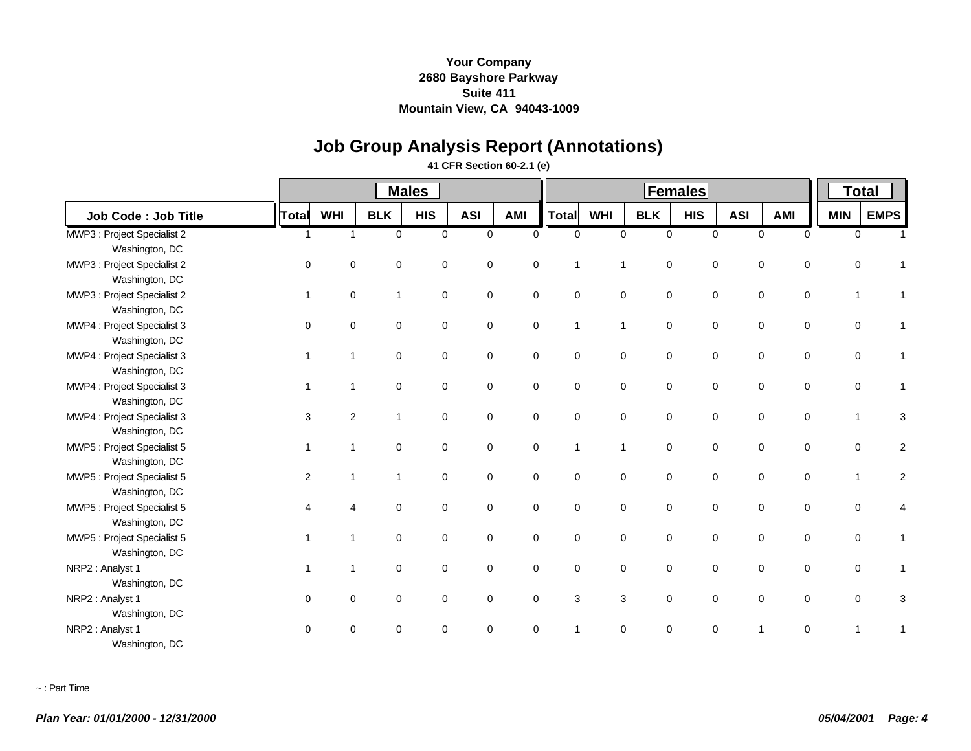# **Job Group Analysis Report (Annotations)**

### **41 CFR Section 60-2.1 (e)**

|                             |              |                |              | <b>Males</b> |             |             |                |                | <b>Total</b>               |             |            |                             |              |             |
|-----------------------------|--------------|----------------|--------------|--------------|-------------|-------------|----------------|----------------|----------------------------|-------------|------------|-----------------------------|--------------|-------------|
| <b>Job Code: Job Title</b>  | Total        | <b>WHI</b>     | <b>BLK</b>   | <b>HIS</b>   | <b>ASI</b>  | AMI         | Total          | <b>WHI</b>     | <b>BLK</b>                 | <b>HIS</b>  | <b>ASI</b> | AMI                         | <b>MIN</b>   | <b>EMPS</b> |
| MWP3 : Project Specialist 2 | $\mathbf{1}$ | $\mathbf{1}$   | $\mathbf 0$  | $\mathbf 0$  | $\mathbf 0$ | $\mathbf 0$ | $\mathbf 0$    |                | $\mathbf 0$<br>$\mathbf 0$ | $\mathbf 0$ |            | $\mathbf 0$<br>$\mathbf 0$  |              | $\mathbf 0$ |
| Washington, DC              |              |                |              |              |             |             |                |                |                            |             |            |                             |              |             |
| MWP3 : Project Specialist 2 | $\Omega$     | $\Omega$       | 0            | $\mathbf 0$  | 0           | $\mathbf 0$ | $\overline{1}$ | $\overline{1}$ | $\mathbf 0$                | $\mathbf 0$ |            | 0<br>0                      | 0            |             |
| Washington, DC              |              |                |              |              |             |             |                |                |                            |             |            |                             |              |             |
| MWP3 : Project Specialist 2 | $\mathbf 1$  | $\mathbf 0$    | $\mathbf{1}$ | 0            | $\mathbf 0$ | $\mathbf 0$ | $\pmb{0}$      |                | $\mathsf 0$<br>$\mathsf 0$ | $\pmb{0}$   |            | $\pmb{0}$<br>$\mathbf 0$    | 1            |             |
| Washington, DC              |              |                |              |              |             |             |                |                |                            |             |            |                             |              |             |
| MWP4 : Project Specialist 3 | $\Omega$     | 0              | $\mathbf 0$  | 0            | $\mathbf 0$ | $\mathbf 0$ | $\mathbf{1}$   | $\mathbf{1}$   | $\mathbf 0$                | 0           |            | 0<br>0                      | 0            |             |
| Washington, DC              |              |                |              |              |             |             |                |                |                            |             |            |                             |              |             |
| MWP4 : Project Specialist 3 |              | 1              | 0            | 0            | 0           | $\mathbf 0$ | $\mathbf 0$    | $\mathbf 0$    | $\mathbf 0$                | 0           |            | 0<br>0                      | 0            |             |
| Washington, DC              |              |                |              |              |             |             |                |                |                            |             |            |                             |              |             |
| MWP4 : Project Specialist 3 |              | 1              | $\mathbf 0$  | $\mathbf 0$  | $\mathbf 0$ | $\mathbf 0$ | $\mathbf 0$    | $\pmb{0}$      | $\pmb{0}$                  | $\mathbf 0$ |            | 0<br>$\mathbf 0$            | 0            |             |
| Washington, DC              |              |                |              |              |             |             |                |                |                            |             |            |                             |              |             |
| MWP4 : Project Specialist 3 | 3            | $\overline{2}$ | 1            | $\mathbf 0$  | $\mathbf 0$ | $\mathbf 0$ | $\mathbf 0$    | $\mathbf 0$    | $\mathbf 0$                | $\mathbf 0$ |            | $\mathbf 0$<br>$\mathbf 0$  | 1            | 3           |
| Washington, DC              |              |                |              |              |             |             |                |                |                            |             |            |                             |              |             |
| MWP5 : Project Specialist 5 | $\mathbf 1$  | 1              | 0            | 0            | 0           | 0           | $\mathbf{1}$   | $\mathbf{1}$   | $\mathbf 0$                | 0           |            | 0<br>$\mathbf 0$            | 0            | 2           |
| Washington, DC              |              |                |              |              |             |             |                |                |                            |             |            |                             |              |             |
| MWP5 : Project Specialist 5 | 2            | 1              | 1            | $\mathbf 0$  | $\Omega$    | $\mathbf 0$ | $\mathbf 0$    | $\mathbf 0$    | $\mathbf 0$                | $\mathbf 0$ |            | 0<br>0                      | $\mathbf{1}$ | 2           |
| Washington, DC              |              |                |              |              |             |             |                |                |                            |             |            |                             |              |             |
| MWP5 : Project Specialist 5 |              |                | $\mathbf 0$  | 0            | $\mathbf 0$ | $\mathbf 0$ | $\mathbf 0$    | $\pmb{0}$      | $\pmb{0}$                  | 0           |            | 0<br>$\mathbf 0$            | 0            |             |
| Washington, DC              |              |                |              |              |             |             |                |                |                            |             |            |                             |              |             |
| MWP5 : Project Specialist 5 |              | 1              | $\mathbf 0$  | $\mathbf 0$  | $\mathbf 0$ | $\mathbf 0$ | $\mathbf 0$    | $\mathbf 0$    | $\mathbf 0$                | $\mathbf 0$ |            | 0<br>$\mathbf 0$            | 0            | 1           |
| Washington, DC              |              |                |              |              |             |             |                |                |                            |             |            |                             |              |             |
| NRP2: Analyst 1             | 1            | $\overline{1}$ | 0            | 0            | 0           | 0           | 0              | 0              | 0                          | 0           |            | 0<br>0                      | 0            | 1           |
| Washington, DC              |              |                |              |              |             |             |                |                |                            |             |            |                             |              |             |
| NRP2 : Analyst 1            | $\mathbf 0$  | 0              | 0            | $\mathbf 0$  | 0           | $\mathbf 0$ | 3              | 3              | $\mathbf 0$                | 0           |            | 0<br>0                      |              | 0<br>3      |
| Washington, DC              |              |                |              |              |             |             |                |                |                            |             |            |                             |              |             |
| NRP2: Analyst 1             | $\Omega$     | $\Omega$       | $\Omega$     | $\Omega$     | $\Omega$    | $\Omega$    | 1              | $\Omega$       | $\Omega$                   | $\Omega$    |            | $\mathbf{1}$<br>$\mathbf 0$ | 1            |             |
| Washington, DC              |              |                |              |              |             |             |                |                |                            |             |            |                             |              |             |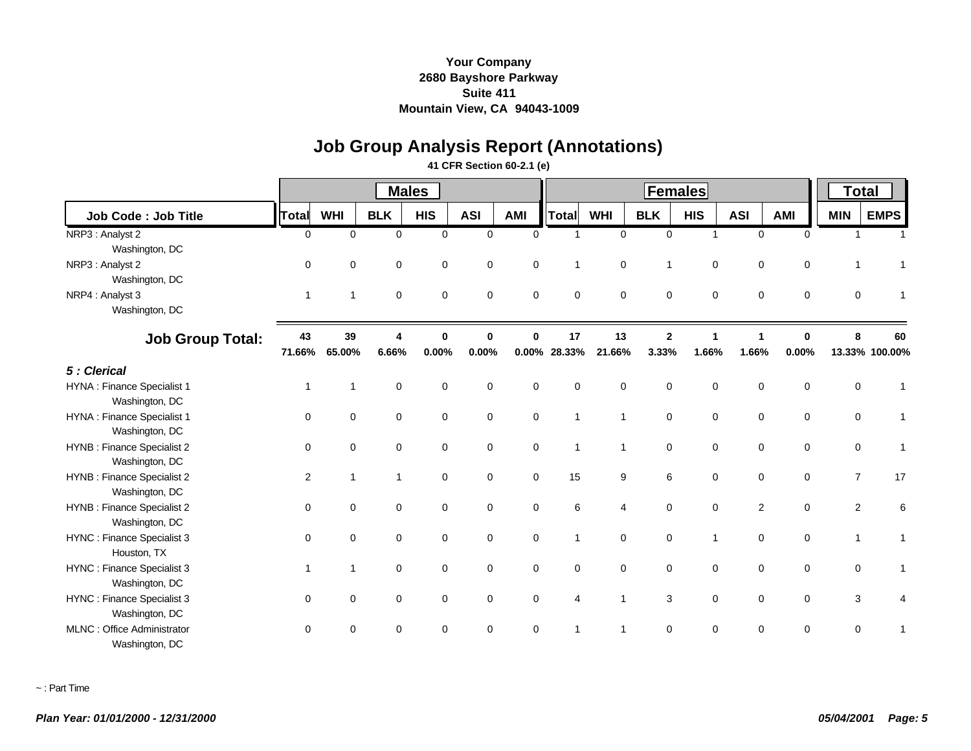# **Job Group Analysis Report (Annotations)**

### **41 CFR Section 60-2.1 (e)**

|                             |                |                |                | <b>Males</b> |                |             |                | <b>Total</b>   |                |                      |                      |              |                |                |
|-----------------------------|----------------|----------------|----------------|--------------|----------------|-------------|----------------|----------------|----------------|----------------------|----------------------|--------------|----------------|----------------|
| Job Code: Job Title         | Total          | <b>WHI</b>     | <b>BLK</b>     | <b>HIS</b>   | <b>ASI</b>     | <b>AMI</b>  | Total          | <b>WHI</b>     | <b>BLK</b>     | <b>HIS</b>           | <b>ASI</b>           | <b>AMI</b>   | <b>MIN</b>     | <b>EMPS</b>    |
| NRP3 : Analyst 2            | $\Omega$       | $\mathbf 0$    | $\mathbf 0$    | $\mathbf 0$  | $\overline{0}$ | $\Omega$    | 1              | $\mathbf 0$    | $\mathbf 0$    | $\mathbf{1}$         | $\mathbf 0$          | $\mathbf 0$  | $\overline{1}$ |                |
| Washington, DC              |                |                |                |              |                |             |                |                |                |                      |                      |              |                |                |
| NRP3 : Analyst 2            | $\Omega$       | $\Omega$       | $\Omega$       | 0            | $\mathbf 0$    | $\mathbf 0$ | $\mathbf{1}$   | $\mathbf 0$    | 1              | $\mathbf 0$          | $\mathbf 0$          | $\mathbf 0$  | $\overline{1}$ |                |
| Washington, DC              |                |                |                |              |                |             |                |                |                |                      |                      |              |                |                |
| NRP4 : Analyst 3            | $\overline{1}$ | $\mathbf{1}$   | $\mathbf 0$    | $\mathbf 0$  | $\mathbf 0$    | $\mathbf 0$ | $\mathbf 0$    | $\mathbf 0$    | $\mathbf 0$    | $\mathbf 0$          | $\mathbf 0$          | $\mathbf 0$  | $\mathbf 0$    |                |
| Washington, DC              |                |                |                |              |                |             |                |                |                |                      |                      |              |                |                |
| <b>Job Group Total:</b>     | 43             | 39             | 4              | $\bf{0}$     | $\bf{0}$       | $\bf{0}$    | 17             | 13             | $\overline{2}$ | $\blacktriangleleft$ | $\blacktriangleleft$ | $\mathbf{0}$ | 8              | 60             |
|                             | 71.66%         | 65.00%         | 6.66%          | 0.00%        | 0.00%          |             | 0.00% 28.33%   | 21.66%         | 3.33%          | 1.66%                | 1.66%                | 0.00%        |                | 13.33% 100.00% |
| 5 : Clerical                |                |                |                |              |                |             |                |                |                |                      |                      |              |                |                |
| HYNA : Finance Specialist 1 | $\overline{1}$ | $\overline{1}$ | $\mathbf 0$    | $\mathbf 0$  | $\mathbf 0$    | $\mathbf 0$ | $\mathbf 0$    | $\mathbf 0$    | $\mathbf 0$    | $\mathbf 0$          | $\mathbf 0$          | $\mathbf 0$  | $\mathbf 0$    |                |
| Washington, DC              |                |                |                |              |                |             |                |                |                |                      |                      |              |                |                |
| HYNA : Finance Specialist 1 | $\Omega$       | $\mathbf 0$    | $\mathbf 0$    | $\mathbf 0$  | $\mathbf 0$    | $\mathbf 0$ | $\mathbf{1}$   | $\mathbf{1}$   | 0              | $\mathbf 0$          | $\mathbf 0$          | $\mathbf 0$  | $\pmb{0}$      |                |
| Washington, DC              |                |                |                |              |                |             |                |                |                |                      |                      |              |                |                |
| HYNB : Finance Specialist 2 | $\mathbf 0$    | $\mathbf 0$    | $\mathbf 0$    | 0            | $\mathbf 0$    | $\mathbf 0$ | $\mathbf{1}$   | $\mathbf{1}$   | $\mathbf 0$    | $\mathbf 0$          | $\mathbf 0$          | $\mathbf 0$  | 0              | 1              |
| Washington, DC              |                |                |                |              |                |             |                |                |                |                      |                      |              |                |                |
| HYNB : Finance Specialist 2 | 2              | $\mathbf{1}$   | $\overline{1}$ | $\Omega$     | $\Omega$       | $\Omega$    | 15             | 9              | 6              | $\Omega$             | $\mathbf 0$          | $\mathbf 0$  | $\overline{7}$ | 17             |
| Washington, DC              |                |                |                |              |                |             |                |                |                |                      |                      |              |                |                |
| HYNB : Finance Specialist 2 | $\Omega$       | $\mathbf 0$    | $\mathbf 0$    | $\mathbf 0$  | $\mathbf 0$    | $\mathbf 0$ | 6              | $\overline{4}$ | $\mathbf 0$    | $\mathbf 0$          | $\overline{c}$       | $\mathbf 0$  | 2              | 6              |
| Washington, DC              |                |                |                |              |                |             |                |                |                |                      |                      |              |                |                |
| HYNC : Finance Specialist 3 | $\mathbf 0$    | $\mathbf 0$    | $\mathbf 0$    | $\mathbf 0$  | $\mathbf 0$    | $\mathbf 0$ | $\mathbf{1}$   | $\mathbf 0$    | $\mathbf 0$    | $\mathbf{1}$         | $\mathbf 0$          | $\mathbf 0$  | $\mathbf{1}$   |                |
| Houston, TX                 |                |                |                |              |                |             |                |                |                |                      |                      |              |                |                |
| HYNC : Finance Specialist 3 | $\overline{1}$ | $\overline{1}$ | $\mathbf 0$    | 0            | $\mathbf 0$    | $\mathbf 0$ | $\mathbf 0$    | 0              | 0              | $\mathbf 0$          | 0                    | $\mathbf 0$  | 0              | 1              |
| Washington, DC              |                |                |                |              |                |             |                |                |                |                      |                      |              |                |                |
| HYNC : Finance Specialist 3 | $\Omega$       | $\mathbf 0$    | $\mathbf 0$    | 0            | $\mathbf 0$    | $\mathbf 0$ | $\overline{4}$ | $\mathbf{1}$   | 3              | $\mathbf 0$          | $\mathbf 0$          | $\mathbf 0$  | 3              |                |
| Washington, DC              |                |                |                |              |                |             |                |                |                |                      |                      |              |                |                |
| MLNC: Office Administrator  | $\Omega$       | $\Omega$       | $\Omega$       | $\Omega$     | $\Omega$       | $\Omega$    | 1              | 1              | $\Omega$       | $\Omega$             | $\mathbf 0$          | $\mathbf 0$  | $\mathbf 0$    |                |
| Washington, DC              |                |                |                |              |                |             |                |                |                |                      |                      |              |                |                |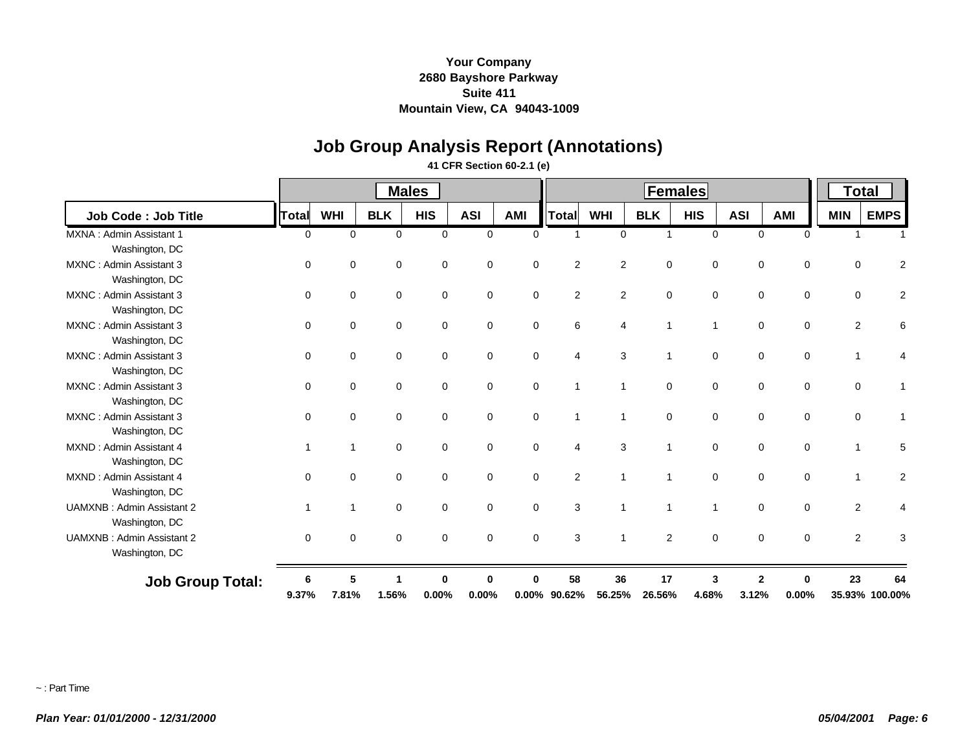# **Job Group Analysis Report (Annotations)**

### **41 CFR Section 60-2.1 (e)**

|                                  |                          |                | <b>Males</b> |             |             |             | <b>Females</b> |                |              |              |                |             | <b>Total</b>   |                |  |
|----------------------------------|--------------------------|----------------|--------------|-------------|-------------|-------------|----------------|----------------|--------------|--------------|----------------|-------------|----------------|----------------|--|
| Job Code: Job Title              | <b>Total</b>             | <b>WHI</b>     | <b>BLK</b>   | <b>HIS</b>  | <b>ASI</b>  | <b>AMI</b>  | <b>Total</b>   | <b>WHI</b>     | <b>BLK</b>   | <b>HIS</b>   | <b>ASI</b>     | <b>AMI</b>  | <b>MIN</b>     | <b>EMPS</b>    |  |
| MXNA: Admin Assistant 1          | $\mathbf 0$              | $\mathbf 0$    | 0            | $\mathbf 0$ | 0           | $\mathbf 0$ |                | 0              | $\mathbf{1}$ | $\mathbf 0$  | $\mathbf 0$    | $\mathbf 0$ |                |                |  |
| Washington, DC                   |                          |                |              |             |             |             |                |                |              |              |                |             |                |                |  |
| MXNC: Admin Assistant 3          | $\Omega$                 | $\mathbf 0$    | $\mathbf 0$  | $\mathbf 0$ | $\mathbf 0$ | $\mathbf 0$ | $\overline{2}$ | $\overline{c}$ | $\mathbf 0$  | $\mathbf 0$  | $\mathbf 0$    | $\mathbf 0$ | $\mathbf 0$    | 2              |  |
| Washington, DC                   |                          |                |              |             |             |             |                |                |              |              |                |             |                |                |  |
| MXNC: Admin Assistant 3          | 0                        | $\mathbf 0$    | $\mathbf 0$  | $\Omega$    | $\mathbf 0$ | $\mathbf 0$ | $\overline{2}$ | $\overline{c}$ | $\mathbf 0$  | $\mathbf 0$  | $\mathbf 0$    | $\mathbf 0$ | $\mathbf 0$    | 2              |  |
| Washington, DC                   |                          |                |              |             |             |             |                |                |              |              |                |             |                |                |  |
| MXNC: Admin Assistant 3          | $\mathbf 0$              | $\mathbf 0$    | 0            | $\mathbf 0$ | 0           | 0           | 6              | 4              | $\mathbf{1}$ | $\mathbf{1}$ | $\mathbf 0$    | $\mathbf 0$ | 2              | 6              |  |
| Washington, DC                   |                          |                |              |             |             |             |                |                |              |              |                |             |                |                |  |
| MXNC: Admin Assistant 3          | 0                        | 0              | $\mathbf 0$  | $\mathbf 0$ | 0           | $\mathbf 0$ | 4              | 3              | 1            | $\mathbf 0$  | $\mathbf 0$    | $\mathbf 0$ |                |                |  |
| Washington, DC                   |                          |                |              |             |             |             |                |                |              |              |                |             |                |                |  |
| MXNC: Admin Assistant 3          | $\mathbf 0$              | $\mathbf 0$    | $\mathbf 0$  | $\mathbf 0$ | 0           | $\mathbf 0$ | 1              | $\mathbf{1}$   | $\mathbf 0$  | $\mathbf 0$  | $\mathbf 0$    | $\mathbf 0$ | $\mathbf 0$    |                |  |
| Washington, DC                   |                          |                |              |             |             |             |                |                |              |              |                |             |                |                |  |
| MXNC: Admin Assistant 3          | $\Omega$                 | $\mathbf 0$    | $\mathbf 0$  | $\Omega$    | 0           | $\mathbf 0$ | $\overline{1}$ | $\mathbf{1}$   | $\mathbf 0$  | 0            | $\mathbf 0$    | $\mathbf 0$ | $\mathbf 0$    |                |  |
| Washington, DC                   |                          |                |              |             |             |             |                |                |              |              |                |             |                |                |  |
| MXND: Admin Assistant 4          | $\overline{\phantom{a}}$ | -1             | $\mathbf 0$  | $\mathbf 0$ | 0           | $\mathbf 0$ | 4              | 3              | $\mathbf 1$  | $\mathbf 0$  | $\mathbf 0$    | $\mathbf 0$ |                | 5              |  |
| Washington, DC                   |                          |                |              |             |             |             |                |                |              |              |                |             |                |                |  |
| MXND: Admin Assistant 4          | $\Omega$                 | $\Omega$       | $\mathbf 0$  | $\mathbf 0$ | 0           | $\mathbf 0$ | $\overline{2}$ | $\mathbf{1}$   | $\mathbf{1}$ | $\mathbf 0$  | $\mathbf 0$    | $\mathbf 0$ |                | 2              |  |
| Washington, DC                   |                          |                |              |             |             |             |                |                |              |              |                |             |                |                |  |
| <b>UAMXNB: Admin Assistant 2</b> | -1                       | $\overline{1}$ | $\mathbf 0$  | $\mathbf 0$ | 0           | $\mathbf 0$ | 3              | $\mathbf{1}$   | $\mathbf{1}$ | $\mathbf{1}$ | $\mathbf 0$    | $\mathbf 0$ | $\overline{c}$ |                |  |
| Washington, DC                   |                          |                |              |             |             |             |                |                |              |              |                |             |                |                |  |
| <b>UAMXNB: Admin Assistant 2</b> | $\mathbf 0$              | $\mathbf 0$    | $\mathbf 0$  | $\mathbf 0$ | 0           | $\mathbf 0$ | 3              | $\mathbf{1}$   | 2            | $\mathbf 0$  | $\mathbf 0$    | $\mathbf 0$ | 2              | 3              |  |
| Washington, DC                   |                          |                |              |             |             |             |                |                |              |              |                |             |                |                |  |
| <b>Job Group Total:</b>          | 6                        | 5              |              | Λ           | O           |             | 58             | 36             | 17           | 3            | $\overline{2}$ | 0           | 23             | 64             |  |
|                                  | 9.37%                    | 7.81%          | 1.56%        | 0.00%       | 0.00%       | $0.00\%$    | 90.62%         | 56.25%         | 26.56%       | 4.68%        | 3.12%          | 0.00%       |                | 35.93% 100.00% |  |